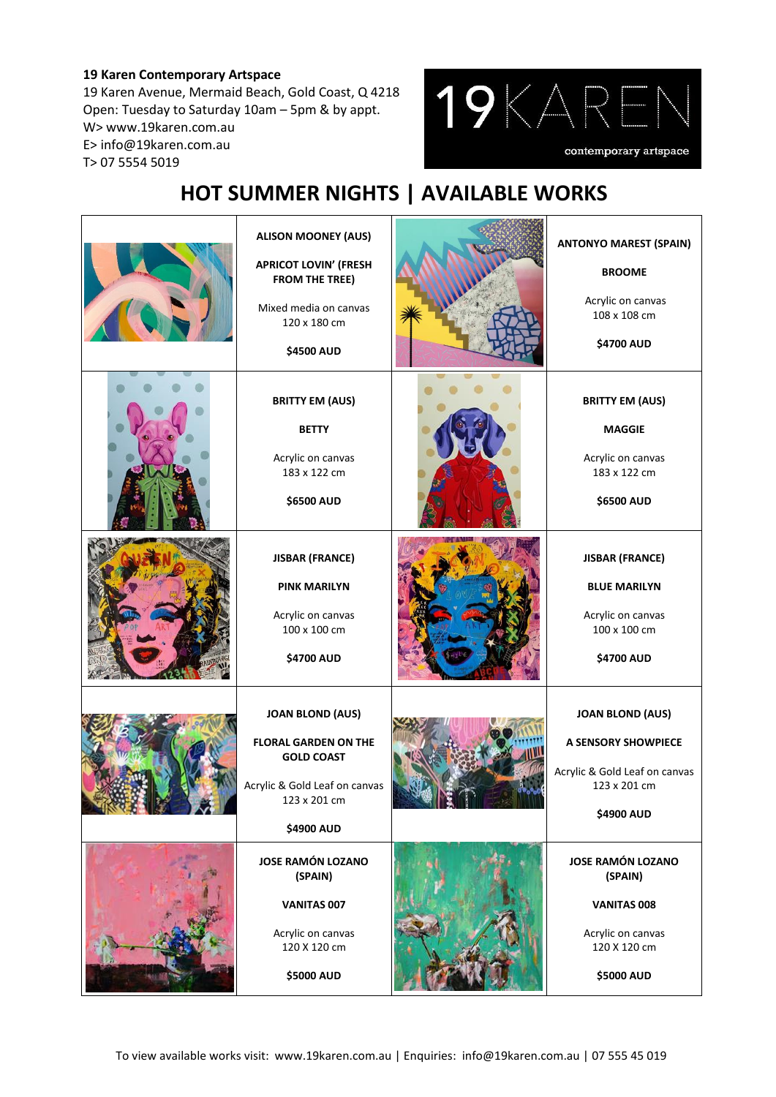### **19 Karen Contemporary Artspace**

19 Karen Avenue, Mermaid Beach, Gold Coast, Q 4218 Open: Tuesday to Saturday 10am – 5pm & by appt. W> www.19karen.com.au E> info@19karen.com.au T> 07 5554 5019



# **HOT SUMMER NIGHTS | AVAILABLE WORKS**

| <b>ALISON MOONEY (AUS)</b><br><b>APRICOT LOVIN' (FRESH</b><br><b>FROM THE TREE)</b><br>Mixed media on canvas<br>120 x 180 cm<br>\$4500 AUD | <b>ANTONYO MAREST (SPAIN)</b><br><b>BROOME</b><br>Acrylic on canvas<br>108 x 108 cm<br><b>\$4700 AUD</b>      |
|--------------------------------------------------------------------------------------------------------------------------------------------|---------------------------------------------------------------------------------------------------------------|
| <b>BRITTY EM (AUS)</b><br><b>BETTY</b><br>Acrylic on canvas<br>183 x 122 cm<br>\$6500 AUD                                                  | <b>BRITTY EM (AUS)</b><br><b>MAGGIE</b><br>Acrylic on canvas<br>183 x 122 cm<br>\$6500 AUD                    |
| <b>JISBAR (FRANCE)</b><br><b>PINK MARILYN</b><br>Acrylic on canvas<br>100 x 100 cm<br>\$4700 AUD                                           | <b>JISBAR (FRANCE)</b><br><b>BLUE MARILYN</b><br>Acrylic on canvas<br>100 x 100 cm<br>\$4700 AUD              |
| <b>JOAN BLOND (AUS)</b><br><b>FLORAL GARDEN ON THE</b><br><b>GOLD COAST</b><br>Acrylic & Gold Leaf on canvas<br>123 x 201 cm<br>\$4900 AUD | <b>JOAN BLOND (AUS)</b><br>A SENSORY SHOWPIECE<br>Acrylic & Gold Leaf on canvas<br>123 x 201 cm<br>\$4900 AUD |
| <b>JOSE RAMÓN LOZANO</b><br>(SPAIN)<br>VANITAS 007<br>Acrylic on canvas<br>120 X 120 cm<br>\$5000 AUD                                      | <b>JOSE RAMÓN LOZANO</b><br>(SPAIN)<br>VANITAS 008<br>Acrylic on canvas<br>120 X 120 cm<br>\$5000 AUD         |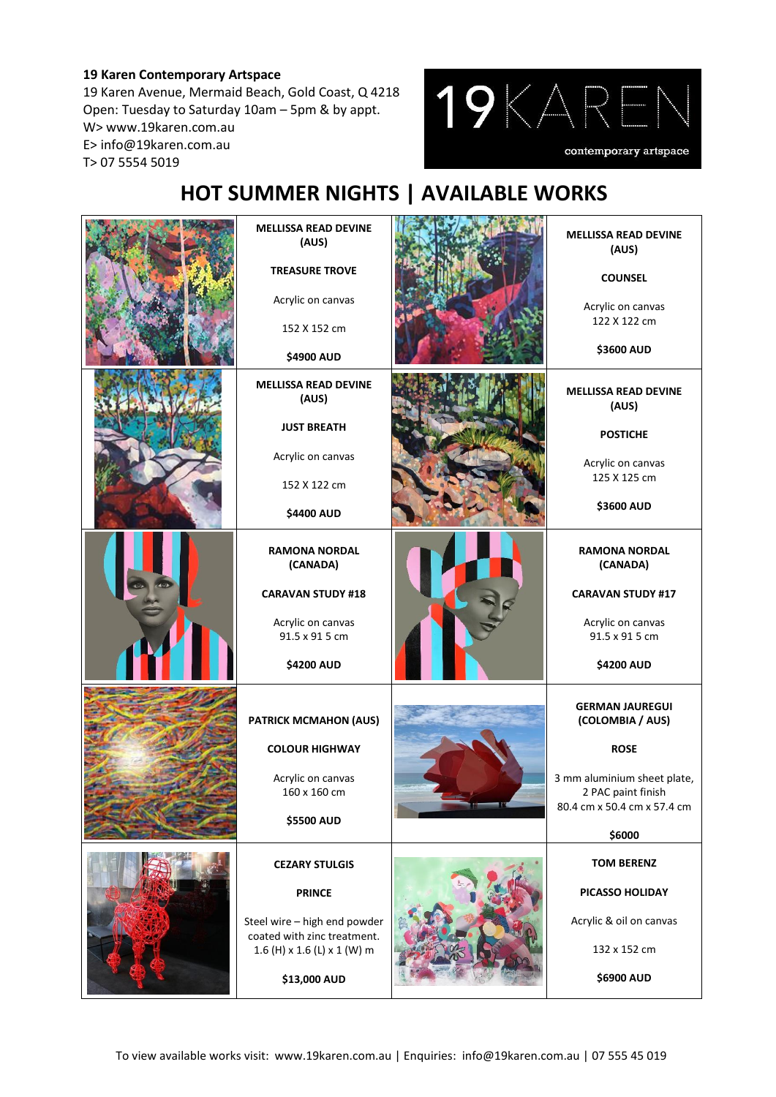### **19 Karen Contemporary Artspace**

19 Karen Avenue, Mermaid Beach, Gold Coast, Q 4218 Open: Tuesday to Saturday 10am – 5pm & by appt. W> www.19karen.com.au E> info@19karen.com.au T> 07 5554 5019



# **HOT SUMMER NIGHTS | AVAILABLE WORKS**

| <b>MELLISSA READ DEVINE</b><br>(AUS)<br><b>TREASURE TROVE</b><br>Acrylic on canvas<br>152 X 152 cm<br>\$4900 AUD                                     | <b>MELLISSA READ DEVINE</b><br>(AUS)<br><b>COUNSEL</b><br>Acrylic on canvas<br>122 X 122 cm<br><b>\$3600 AUD</b>                                        |
|------------------------------------------------------------------------------------------------------------------------------------------------------|---------------------------------------------------------------------------------------------------------------------------------------------------------|
| <b>MELLISSA READ DEVINE</b><br>(AUS)<br><b>JUST BREATH</b><br>Acrylic on canvas<br>152 X 122 cm                                                      | <b>MELLISSA READ DEVINE</b><br>(AUS)<br><b>POSTICHE</b><br>Acrylic on canvas<br>125 X 125 cm                                                            |
| \$4400 AUD<br><b>RAMONA NORDAL</b><br>(CANADA)<br><b>CARAVAN STUDY #18</b><br>Acrylic on canvas<br>91.5 x 91 5 cm<br>\$4200 AUD                      | <b>\$3600 AUD</b><br><b>RAMONA NORDAL</b><br>(CANADA)<br><b>CARAVAN STUDY #17</b><br>Acrylic on canvas<br>91.5 x 91 5 cm<br><b>\$4200 AUD</b>           |
| <b>PATRICK MCMAHON (AUS)</b><br><b>COLOUR HIGHWAY</b><br>Acrylic on canvas<br>160 x 160 cm<br>\$5500 AUD                                             | <b>GERMAN JAUREGUI</b><br>(COLOMBIA / AUS)<br><b>ROSE</b><br>3 mm aluminium sheet plate,<br>2 PAC paint finish<br>80.4 cm x 50.4 cm x 57.4 cm<br>\$6000 |
| <b>CEZARY STULGIS</b><br><b>PRINCE</b><br>Steel wire - high end powder<br>coated with zinc treatment.<br>1.6 (H) x 1.6 (L) x 1 (W) m<br>\$13,000 AUD | <b>TOM BERENZ</b><br>PICASSO HOLIDAY<br>Acrylic & oil on canvas<br>132 x 152 cm<br>\$6900 AUD                                                           |